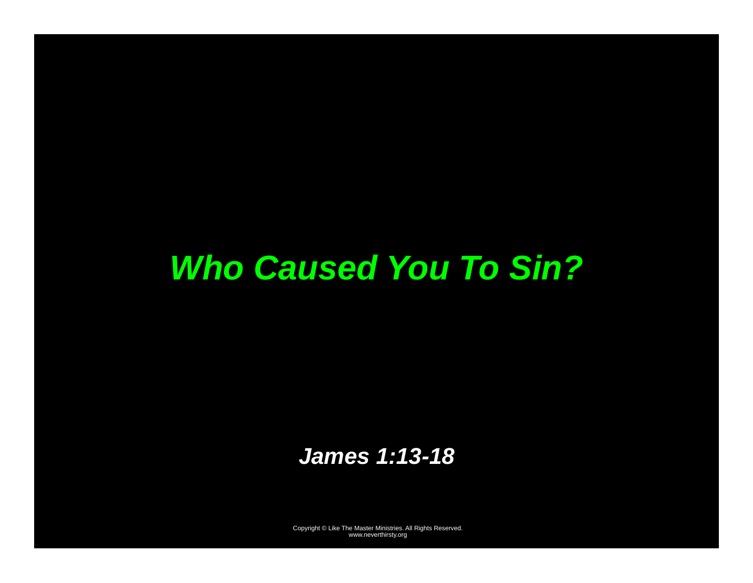# *Who Caused You To Sin?*

### *James 1:13-18*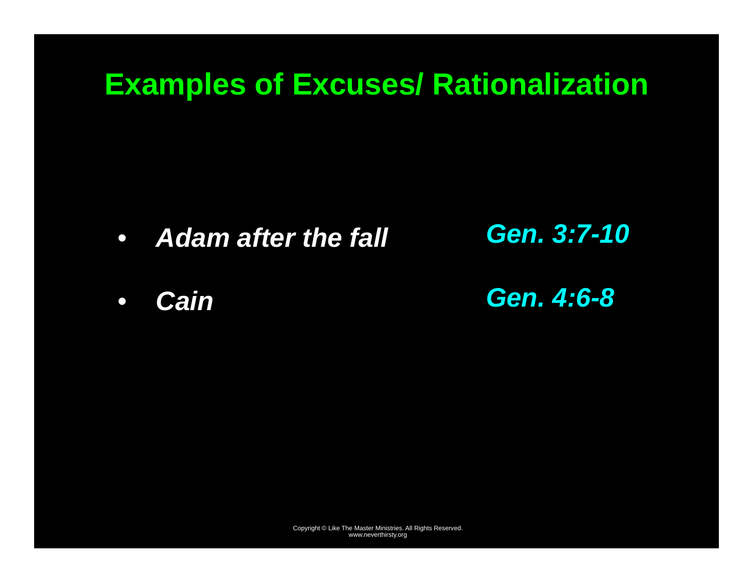### **Examples of Excuses/ Rationalization**

- $\bullet$ *Adam after the fall*
- $\bullet$ *Cain*
- *Gen. 3:7-10*
- *Gen. 4:6-8*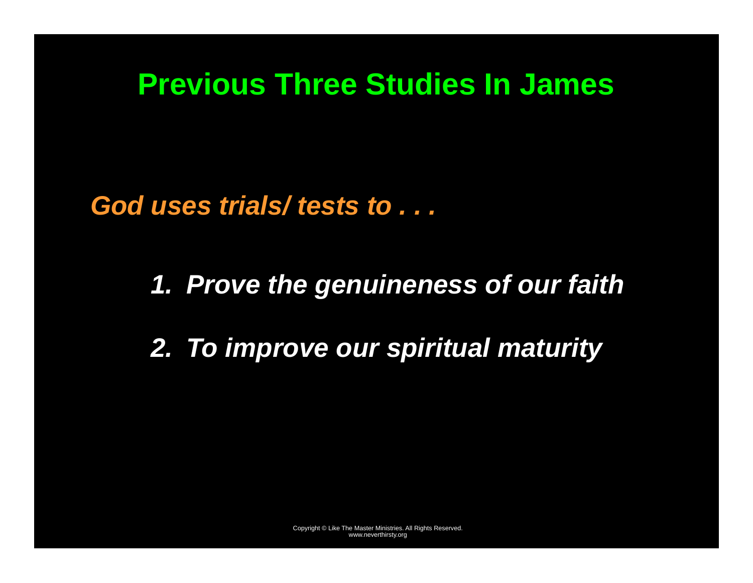### **Previous Three Studies In James**

*God uses trials/ tests to . . .* 

*1. Prove the genuineness of our faith* 

*2. To improve our spiritual maturity*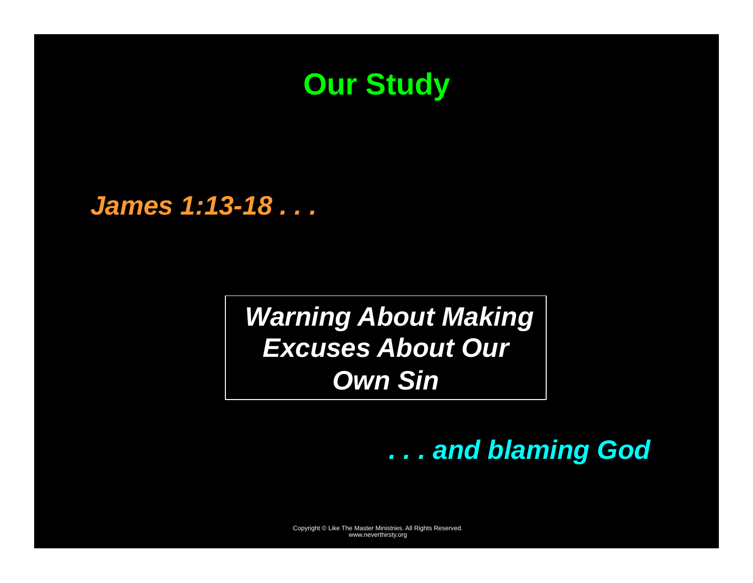

*James 1:13-18 . . .* 

 *Warning About Making Excuses About Our Own Sin* 

*. . . and blaming God*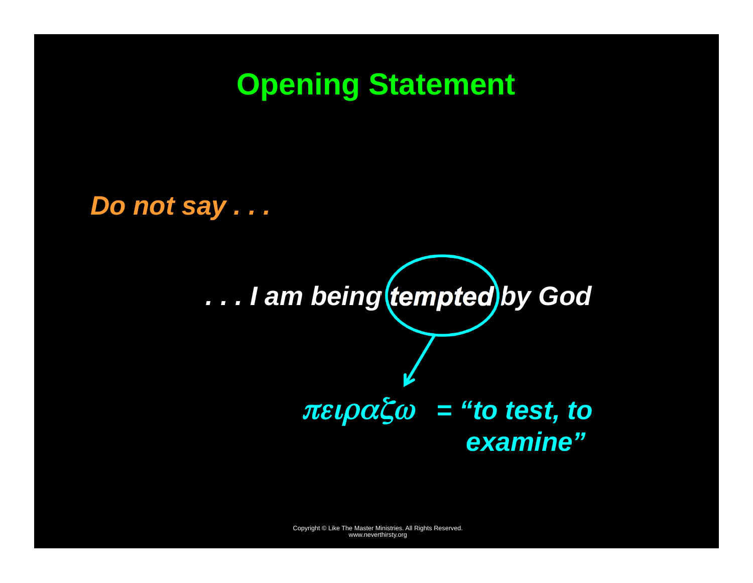### **Opening Statement**

*Do not say . . .* 

*. . . I am being tempted by God* 

πειραζω *<sup>=</sup>"to test, to examine"*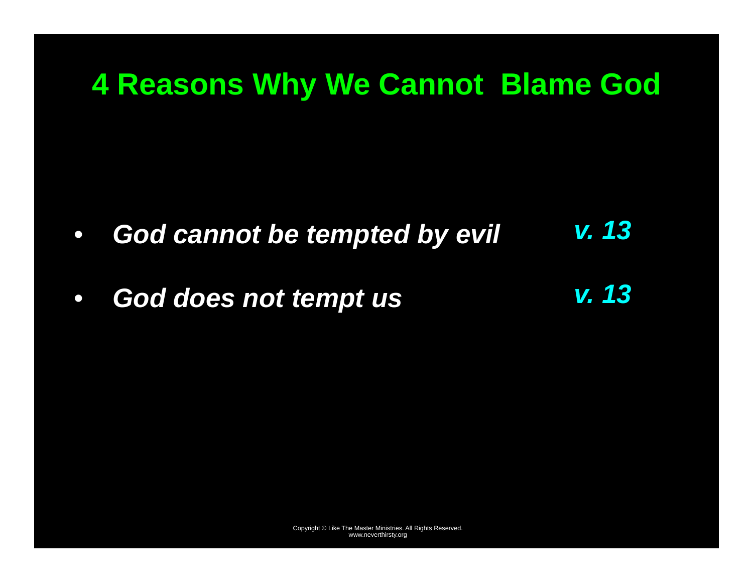### **4 Reasons Why We Cannot Blame God**

- $\bullet$  *God cannot be tempted by evil v. 13*
- $\bullet$  *God does not tempt us v. 13*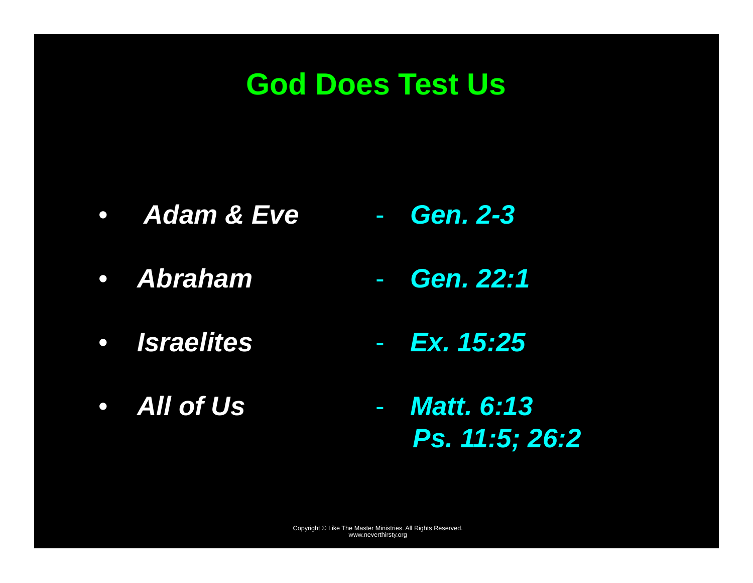### **God Does Test Us**

- • *Adam & Eve Gen. 2-3*
- *Abraham*  - *Gen. 22:1*
- • *Israelites*  - *Ex. 15:25*
- *All of Us*  - *Matt. 6:13 Ps. 11:5; 26:2*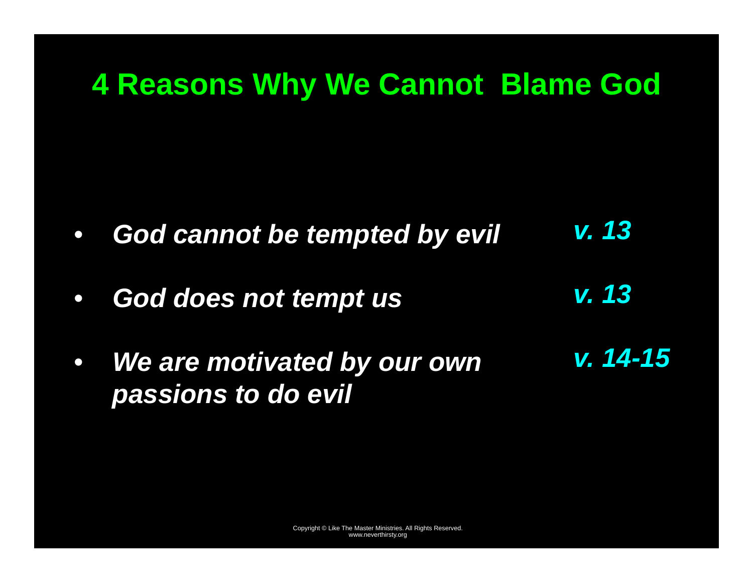## **4 Reasons Why We Cannot Blame God**

- $\bullet$  *God cannot be tempted by evil v. 13*
- $\bullet$  *God does not tempt us v. 13*
- $\bullet$  *We are motivated by our own passions to do evil v. 14-15*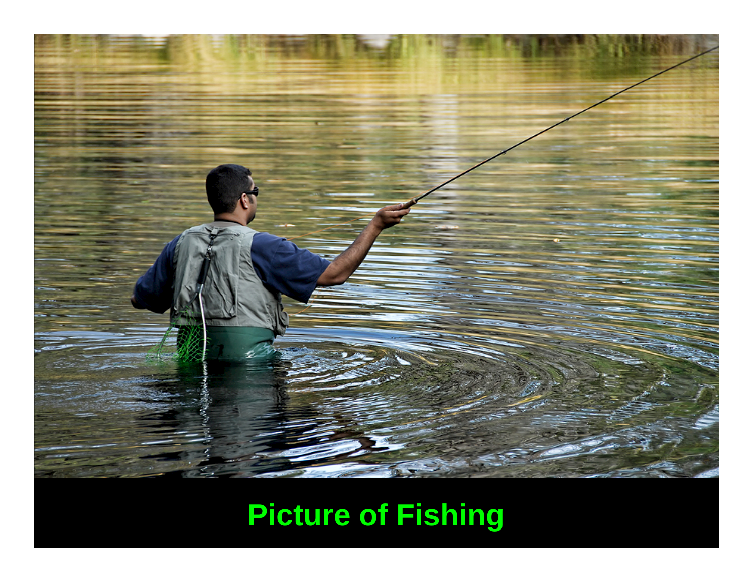

# **Picture of Fishing**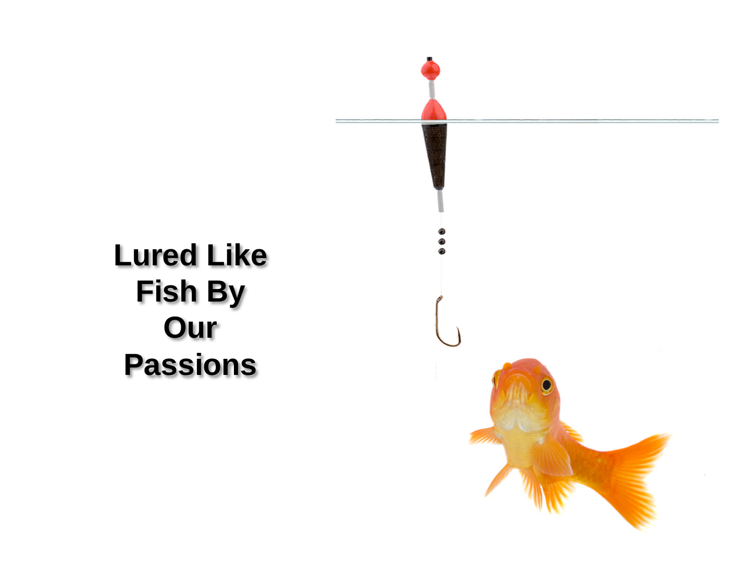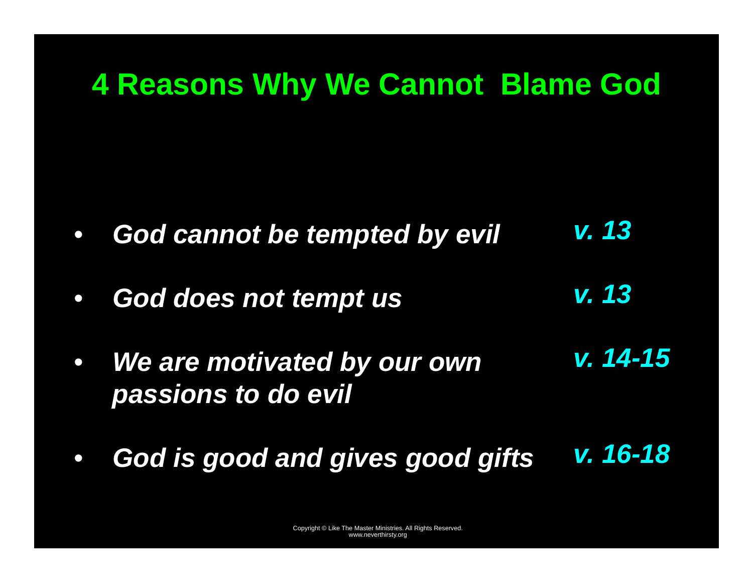## **4 Reasons Why We Cannot Blame God**

- $\bullet$  *God cannot be tempted by evil v. 13*
- $\bullet$  *God does not tempt us v. 13*
- $\bullet$  *We are motivated by our own passions to do evil v. 14-15*
- $\bullet$  *God is good and gives good gifts v. 16-18*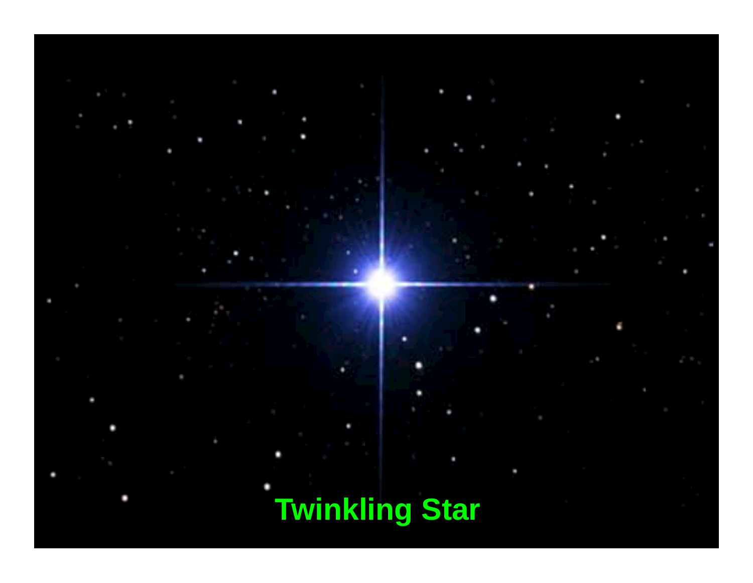# **Twinkling Star**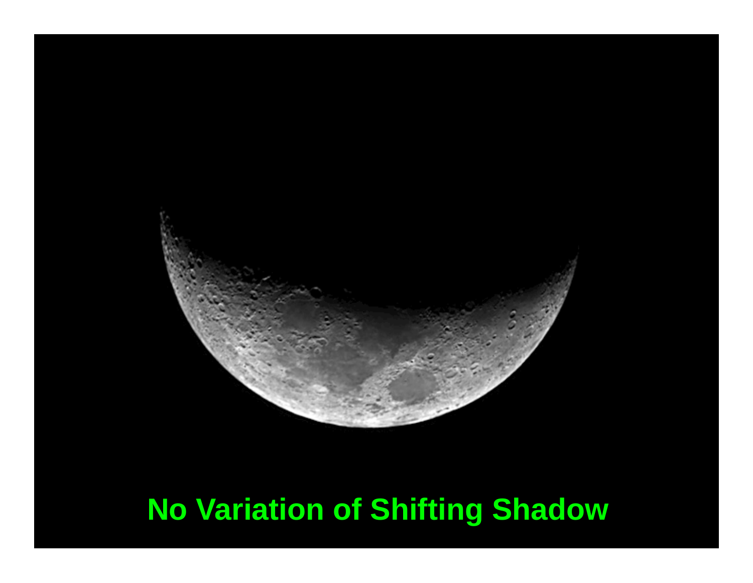

# **No Variation of Shifting Shadow**